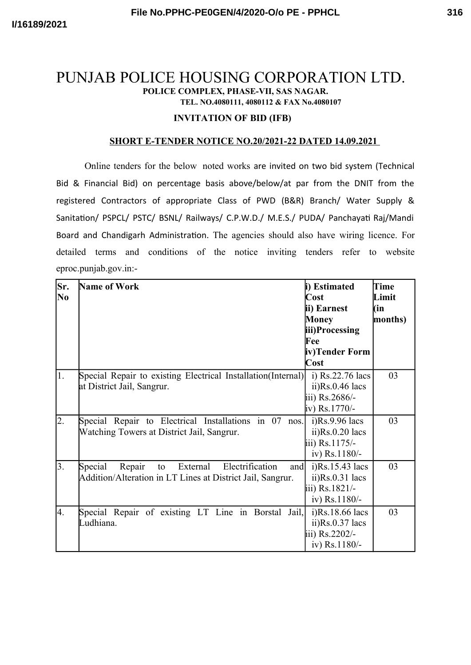# PUNJAB POLICE HOUSING CORPORATION LTD. **POLICE COMPLEX, PHASE-VII, SAS NAGAR. TEL. NO.4080111, 4080112 & FAX No.4080107**

### **INVITATION OF BID (IFB)**

#### **SHORT E-TENDER NOTICE NO.20/2021-22 DATED 14.09.2021**

Online tenders for the below noted works are invited on two bid system (Technical Bid & Financial Bid) on percentage basis above/below/at par from the DNIT from the registered Contractors of appropriate Class of PWD (B&R) Branch/ Water Supply & Sanitation/ PSPCL/ PSTC/ BSNL/ Railways/ C.P.W.D./ M.E.S./ PUDA/ Panchayati Raj/Mandi Board and Chandigarh Administration. The agencies should also have wiring licence. For detailed terms and conditions of the notice inviting tenders refer to website eproc.punjab.gov.in:-

| Sr.<br>N <sub>0</sub> | <b>Name of Work</b>                                                                                                         | i) Estimated<br>Cost<br>ii) Earnest<br><b>Money</b><br>iii)Processing<br>Fee<br>iv)Tender Form<br>Cost | Time<br>Limit<br>(in<br>months) |
|-----------------------|-----------------------------------------------------------------------------------------------------------------------------|--------------------------------------------------------------------------------------------------------|---------------------------------|
| 1.                    | Special Repair to existing Electrical Installation(Internal)<br>at District Jail, Sangrur.                                  | i) $Rs.22.76$ lacs<br>$ii)Rs.0.46$ lacs<br>iii) Rs.2686/-<br>iv) Rs.1770/-                             | 03                              |
| $\overline{2}$ .      | Special Repair to Electrical Installations in 07 nos.<br>Watching Towers at District Jail, Sangrur.                         | $i)$ Rs.9.96 lacs<br>$ii)Rs.0.20$ lacs<br>iii) Rs.1175/-<br>iv) Rs.1180/-                              | 03                              |
| 3.                    | Special<br>Repair<br>External<br>Electrification<br>and<br>to<br>Addition/Alteration in LT Lines at District Jail, Sangrur. | $i)$ Rs.15.43 lacs<br>$ii)Rs.0.31$ lacs<br>iii) Rs.1821/-<br>iv) Rs.1180/-                             | 03                              |
| 4.                    | Special Repair of existing LT Line in Borstal Jail,<br>Ludhiana.                                                            | i)Rs.18.66 lacs<br>$ii)Rs.0.37$ lacs<br>iii) Rs.2202/-<br>iv) Rs.1180/-                                | 03                              |